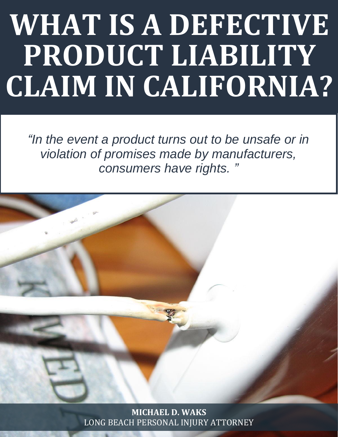# **WHAT IS A DEFECTIVE PRODUCT LIABILITY CLAIM IN CALIFORNIA?**

*"In the event a product turns out to be unsafe or in violation of promises made by manufacturers, consumers have rights. "*



**MICHAEL D. WAKS** LONG BEACH PERSONAL INJURY [ATTORNEY](http://www.michaelwaks.com/)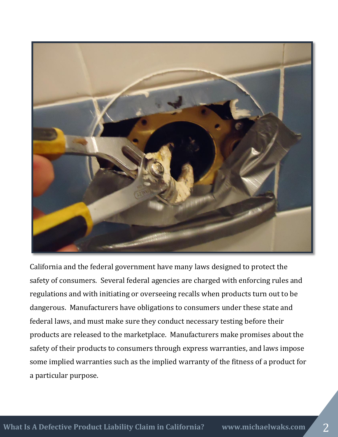

California and the federal government have many laws designed to protect the safety of consumers. Several federal agencies are charged with enforcing rules and regulations and with initiating or overseeing recalls when products turn out to be dangerous. Manufacturers have obligations to consumers under these state and federal laws, and must make sure they conduct necessary testing before their products are released to the marketplace. Manufacturers make promises about the safety of their products to consumers through express warranties, and laws impose some implied warranties such as the implied warranty of the fitness of a product for a particular purpose.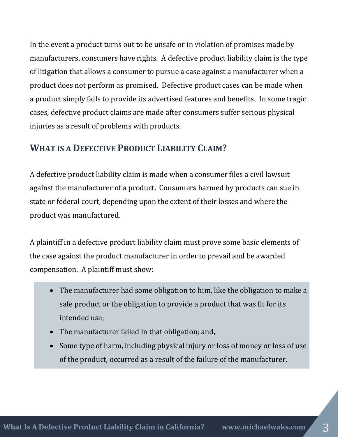In the event a product turns out to be unsafe or in violation of promises made by manufacturers, consumers have rights. A defective product liability claim is the type of litigation that allows a consumer to pursue a case against a manufacturer when a product does not perform as promised. Defective product cases can be made when a product simply fails to provide its advertised features and benefits. In some tragic cases, defective product claims are made after consumers suffer serious physical injuries as a result of problems with products.

## **WHAT IS A DEFECTIVE PRODUCT LIABILITY CLAIM?**

A defective product liability claim is made when a consumer files a civil lawsuit against the manufacturer of a product. Consumers harmed by products can sue in state or federal court, depending upon the extent of their losses and where the product was manufactured.

A plaintiff in a defective product liability claim must prove some basic elements of the case against the product manufacturer in order to prevail and be awarded compensation. A plaintiff must show:

- The manufacturer had some obligation to him, like the obligation to make a safe product or the obligation to provide a product that was fit for its intended use;
- The manufacturer failed in that obligation; and,
- Some type of harm, including physical injury or loss of money or loss of use of the product, occurred as a result of the failure of the manufacturer.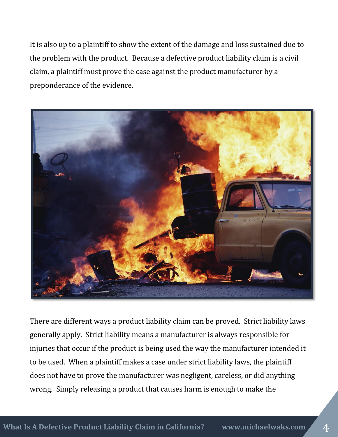It is also up to a plaintiff to show the extent of the damage and loss sustained due to the problem with the product. Because a defective product liability claim is a civil claim, a plaintiff must prove the case against the product manufacturer by a preponderance of the evidence.



There are different ways a product liability claim can be proved. Strict liability laws generally apply. Strict liability means a manufacturer is always responsible for injuries that occur if the product is being used the way the manufacturer intended it to be used. When a plaintiff makes a case under strict liability laws, the plaintiff does not have to prove the manufacturer was negligent, careless, or did anything wrong. Simply releasing a product that causes harm is enough to make the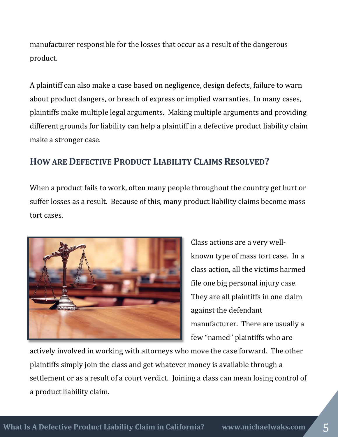manufacturer responsible for the losses that occur as a result of the dangerous product.

A plaintiff can also make a case based on negligence, design defects, failure to warn about product dangers, or breach of express or implied warranties. In many cases, plaintiffs make multiple legal arguments. Making multiple arguments and providing different grounds for liability can help a plaintiff in a defective product liability claim make a stronger case.

# **HOW ARE DEFECTIVE PRODUCT LIABILITY CLAIMS RESOLVED?**

When a product fails to work, often many people throughout the country get hurt or suffer losses as a result. Because of this, many product liability claims become mass tort cases.



Class actions are a very wellknown type of mass tort case. In a class action, all the victims harmed file one big personal injury case. They are all plaintiffs in one claim against the defendant manufacturer. There are usually a few "named" plaintiffs who are

actively involved in working with attorneys who move the case forward. The other plaintiffs simply join the class and get whatever money is available through a settlement or as a result of a court verdict. Joining a class can mean losing control of a product liability claim.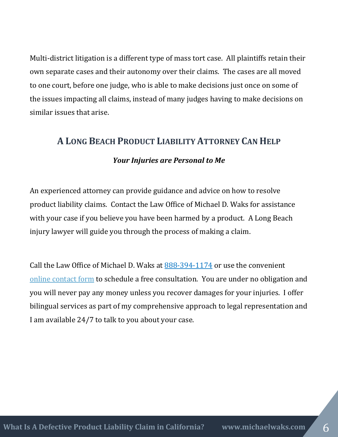Multi-district litigation is a different type of mass tort case. All plaintiffs retain their own separate cases and their autonomy over their claims. The cases are all moved to one court, before one judge, who is able to make decisions just once on some of the issues impacting all claims, instead of many judges having to make decisions on similar issues that arise.

### **A LONG BEACH PRODUCT LIABILITY ATTORNEY CAN HELP**

#### *Your Injuries are Personal to Me*

An experienced attorney can provide guidance and advice on how to resolve product liability claims. Contact the Law Office of Michael D. Waks for assistance with your case if you believe you have been harmed by a product. A Long Beach injury lawyer will guide you through the process of making a claim.

Call the Law Office of Michael D. Waks at [888-394-1174](tel:8883941174) or use the convenient online [contact form](http://www.michaelwaks.com/contact/) to schedule a free consultation. You are under no obligation and you will never pay any money unless you recover damages for your injuries. I offer bilingual services as part of my comprehensive approach to legal representation and I am available 24/7 to talk to you about your case.